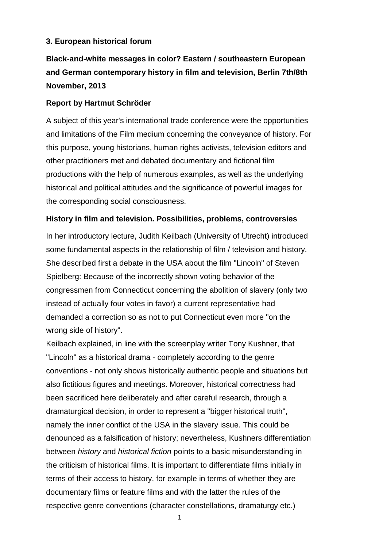# **3. European historical forum**

# **Black-and-white messages in color? Eastern / southeastern European and German contemporary history in film and television, Berlin 7th/8th November, 2013**

# **Report by Hartmut Schröder**

A subject of this year's international trade conference were the opportunities and limitations of the Film medium concerning the conveyance of history. For this purpose, young historians, human rights activists, television editors and other practitioners met and debated documentary and fictional film productions with the help of numerous examples, as well as the underlying historical and political attitudes and the significance of powerful images for the corresponding social consciousness.

# **History in film and television. Possibilities, problems, controversies**

In her introductory lecture, Judith Keilbach (University of Utrecht) introduced some fundamental aspects in the relationship of film / television and history. She described first a debate in the USA about the film "Lincoln" of Steven Spielberg: Because of the incorrectly shown voting behavior of the congressmen from Connecticut concerning the abolition of slavery (only two instead of actually four votes in favor) a current representative had demanded a correction so as not to put Connecticut even more "on the wrong side of history".

Keilbach explained, in line with the screenplay writer Tony Kushner, that "Lincoln" as a historical drama - completely according to the genre conventions - not only shows historically authentic people and situations but also fictitious figures and meetings. Moreover, historical correctness had been sacrificed here deliberately and after careful research, through a dramaturgical decision, in order to represent a "bigger historical truth", namely the inner conflict of the USA in the slavery issue. This could be denounced as a falsification of history; nevertheless, Kushners differentiation between *history* and *historical fiction* points to a basic misunderstanding in the criticism of historical films. It is important to differentiate films initially in terms of their access to history, for example in terms of whether they are documentary films or feature films and with the latter the rules of the respective genre conventions (character constellations, dramaturgy etc.)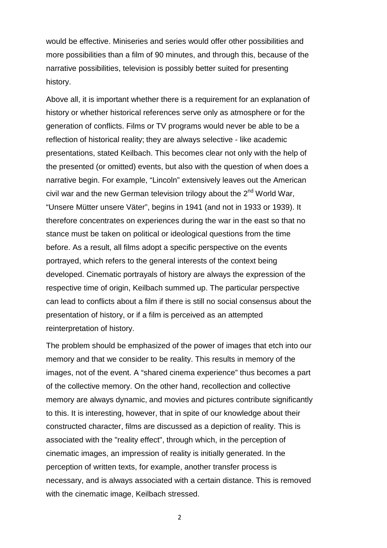would be effective. Miniseries and series would offer other possibilities and more possibilities than a film of 90 minutes, and through this, because of the narrative possibilities, television is possibly better suited for presenting history.

Above all, it is important whether there is a requirement for an explanation of history or whether historical references serve only as atmosphere or for the generation of conflicts. Films or TV programs would never be able to be a reflection of historical reality; they are always selective - like academic presentations, stated Keilbach. This becomes clear not only with the help of the presented (or omitted) events, but also with the question of when does a narrative begin. For example, "Lincoln" extensively leaves out the American civil war and the new German television trilogy about the  $2<sup>nd</sup>$  World War, "Unsere Mütter unsere Väter", begins in 1941 (and not in 1933 or 1939). It therefore concentrates on experiences during the war in the east so that no stance must be taken on political or ideological questions from the time before. As a result, all films adopt a specific perspective on the events portrayed, which refers to the general interests of the context being developed. Cinematic portrayals of history are always the expression of the respective time of origin, Keilbach summed up. The particular perspective can lead to conflicts about a film if there is still no social consensus about the presentation of history, or if a film is perceived as an attempted reinterpretation of history.

The problem should be emphasized of the power of images that etch into our memory and that we consider to be reality. This results in memory of the images, not of the event. A "shared cinema experience" thus becomes a part of the collective memory. On the other hand, recollection and collective memory are always dynamic, and movies and pictures contribute significantly to this. It is interesting, however, that in spite of our knowledge about their constructed character, films are discussed as a depiction of reality. This is associated with the "reality effect", through which, in the perception of cinematic images, an impression of reality is initially generated. In the perception of written texts, for example, another transfer process is necessary, and is always associated with a certain distance. This is removed with the cinematic image, Keilbach stressed.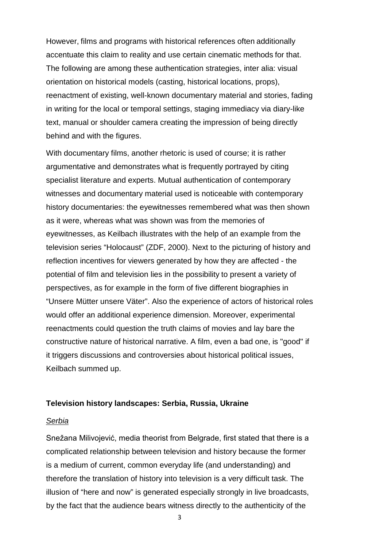However, films and programs with historical references often additionally accentuate this claim to reality and use certain cinematic methods for that. The following are among these authentication strategies, inter alia: visual orientation on historical models (casting, historical locations, props), reenactment of existing, well-known documentary material and stories, fading in writing for the local or temporal settings, staging immediacy via diary-like text, manual or shoulder camera creating the impression of being directly behind and with the figures.

With documentary films, another rhetoric is used of course; it is rather argumentative and demonstrates what is frequently portrayed by citing specialist literature and experts. Mutual authentication of contemporary witnesses and documentary material used is noticeable with contemporary history documentaries: the eyewitnesses remembered what was then shown as it were, whereas what was shown was from the memories of eyewitnesses, as Keilbach illustrates with the help of an example from the television series "Holocaust" (ZDF, 2000). Next to the picturing of history and reflection incentives for viewers generated by how they are affected - the potential of film and television lies in the possibility to present a variety of perspectives, as for example in the form of five different biographies in "Unsere Mütter unsere Väter". Also the experience of actors of historical roles would offer an additional experience dimension. Moreover, experimental reenactments could question the truth claims of movies and lay bare the constructive nature of historical narrative. A film, even a bad one, is "good" if it triggers discussions and controversies about historical political issues, Keilbach summed up.

### **Television history landscapes: Serbia, Russia, Ukraine**

#### *Serbia*

Snežana Milivojević, media theorist from Belgrade, first stated that there is a complicated relationship between television and history because the former is a medium of current, common everyday life (and understanding) and therefore the translation of history into television is a very difficult task. The illusion of "here and now" is generated especially strongly in live broadcasts, by the fact that the audience bears witness directly to the authenticity of the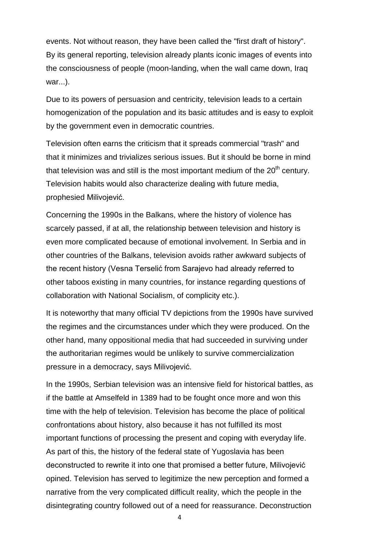events. Not without reason, they have been called the "first draft of history". By its general reporting, television already plants iconic images of events into the consciousness of people (moon-landing, when the wall came down, Iraq war...).

Due to its powers of persuasion and centricity, television leads to a certain homogenization of the population and its basic attitudes and is easy to exploit by the government even in democratic countries.

Television often earns the criticism that it spreads commercial "trash" and that it minimizes and trivializes serious issues. But it should be borne in mind that television was and still is the most important medium of the  $20<sup>th</sup>$  century. Television habits would also characterize dealing with future media, prophesied Milivojević.

Concerning the 1990s in the Balkans, where the history of violence has scarcely passed, if at all, the relationship between television and history is even more complicated because of emotional involvement. In Serbia and in other countries of the Balkans, television avoids rather awkward subjects of the recent history (Vesna Terselić from Sarajevo had already referred to other taboos existing in many countries, for instance regarding questions of collaboration with National Socialism, of complicity etc.).

It is noteworthy that many official TV depictions from the 1990s have survived the regimes and the circumstances under which they were produced. On the other hand, many oppositional media that had succeeded in surviving under the authoritarian regimes would be unlikely to survive commercialization pressure in a democracy, says Milivojević.

In the 1990s, Serbian television was an intensive field for historical battles, as if the battle at Amselfeld in 1389 had to be fought once more and won this time with the help of television. Television has become the place of political confrontations about history, also because it has not fulfilled its most important functions of processing the present and coping with everyday life. As part of this, the history of the federal state of Yugoslavia has been deconstructed to rewrite it into one that promised a better future, Milivojević opined. Television has served to legitimize the new perception and formed a narrative from the very complicated difficult reality, which the people in the disintegrating country followed out of a need for reassurance. Deconstruction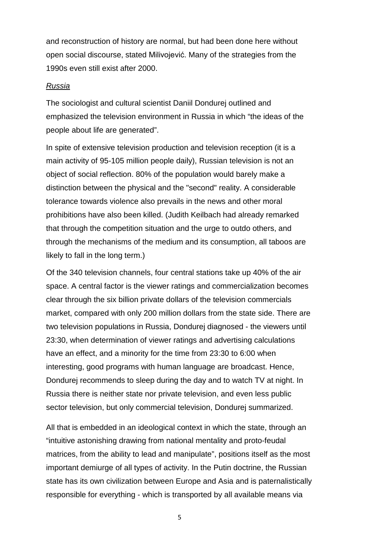and reconstruction of history are normal, but had been done here without open social discourse, stated Milivojević. Many of the strategies from the 1990s even still exist after 2000.

# *Russia*

The sociologist and cultural scientist Daniil Dondurej outlined and emphasized the television environment in Russia in which "the ideas of the people about life are generated".

In spite of extensive television production and television reception (it is a main activity of 95-105 million people daily), Russian television is not an object of social reflection. 80% of the population would barely make a distinction between the physical and the "second" reality. A considerable tolerance towards violence also prevails in the news and other moral prohibitions have also been killed. (Judith Keilbach had already remarked that through the competition situation and the urge to outdo others, and through the mechanisms of the medium and its consumption, all taboos are likely to fall in the long term.)

Of the 340 television channels, four central stations take up 40% of the air space. A central factor is the viewer ratings and commercialization becomes clear through the six billion private dollars of the television commercials market, compared with only 200 million dollars from the state side. There are two television populations in Russia, Dondurej diagnosed - the viewers until 23:30, when determination of viewer ratings and advertising calculations have an effect, and a minority for the time from 23:30 to 6:00 when interesting, good programs with human language are broadcast. Hence, Dondurej recommends to sleep during the day and to watch TV at night. In Russia there is neither state nor private television, and even less public sector television, but only commercial television, Dondurej summarized.

All that is embedded in an ideological context in which the state, through an "intuitive astonishing drawing from national mentality and proto-feudal matrices, from the ability to lead and manipulate", positions itself as the most important demiurge of all types of activity. In the Putin doctrine, the Russian state has its own civilization between Europe and Asia and is paternalistically responsible for everything - which is transported by all available means via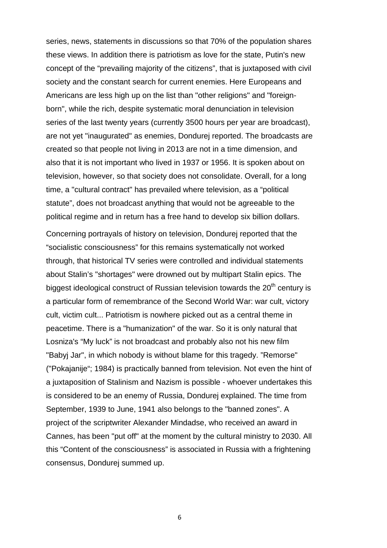series, news, statements in discussions so that 70% of the population shares these views. In addition there is patriotism as love for the state, Putin's new concept of the "prevailing majority of the citizens", that is juxtaposed with civil society and the constant search for current enemies. Here Europeans and Americans are less high up on the list than "other religions" and "foreignborn", while the rich, despite systematic moral denunciation in television series of the last twenty years (currently 3500 hours per year are broadcast), are not yet "inaugurated" as enemies, Dondurej reported. The broadcasts are created so that people not living in 2013 are not in a time dimension, and also that it is not important who lived in 1937 or 1956. It is spoken about on television, however, so that society does not consolidate. Overall, for a long time, a "cultural contract" has prevailed where television, as a "political statute", does not broadcast anything that would not be agreeable to the political regime and in return has a free hand to develop six billion dollars.

Concerning portrayals of history on television, Dondurej reported that the "socialistic consciousness" for this remains systematically not worked through, that historical TV series were controlled and individual statements about Stalin's "shortages" were drowned out by multipart Stalin epics. The biggest ideological construct of Russian television towards the  $20<sup>th</sup>$  century is a particular form of remembrance of the Second World War: war cult, victory cult, victim cult... Patriotism is nowhere picked out as a central theme in peacetime. There is a "humanization" of the war. So it is only natural that Losniza's "My luck" is not broadcast and probably also not his new film "Babyj Jar", in which nobody is without blame for this tragedy. "Remorse" ("Pokajanije"; 1984) is practically banned from television. Not even the hint of a juxtaposition of Stalinism and Nazism is possible - whoever undertakes this is considered to be an enemy of Russia, Dondurej explained. The time from September, 1939 to June, 1941 also belongs to the "banned zones". A project of the scriptwriter Alexander Mindadse, who received an award in Cannes, has been "put off" at the moment by the cultural ministry to 2030. All this "Content of the consciousness" is associated in Russia with a frightening consensus, Dondurej summed up.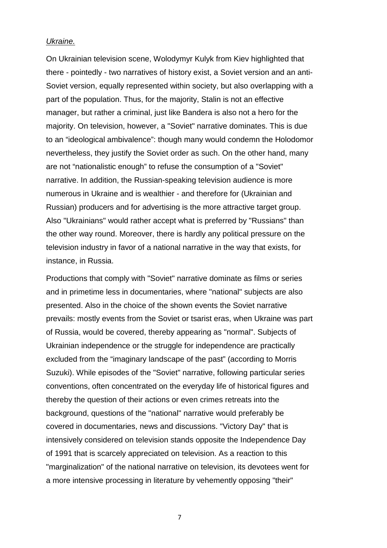#### *Ukraine.*

On Ukrainian television scene, Wolodymyr Kulyk from Kiev highlighted that there - pointedly - two narratives of history exist, a Soviet version and an anti-Soviet version, equally represented within society, but also overlapping with a part of the population. Thus, for the majority, Stalin is not an effective manager, but rather a criminal, just like Bandera is also not a hero for the majority. On television, however, a "Soviet" narrative dominates. This is due to an "ideological ambivalence": though many would condemn the Holodomor nevertheless, they justify the Soviet order as such. On the other hand, many are not "nationalistic enough" to refuse the consumption of a "Soviet" narrative. In addition, the Russian-speaking television audience is more numerous in Ukraine and is wealthier - and therefore for (Ukrainian and Russian) producers and for advertising is the more attractive target group. Also "Ukrainians" would rather accept what is preferred by "Russians" than the other way round. Moreover, there is hardly any political pressure on the television industry in favor of a national narrative in the way that exists, for instance, in Russia.

Productions that comply with "Soviet" narrative dominate as films or series and in primetime less in documentaries, where "national" subjects are also presented. Also in the choice of the shown events the Soviet narrative prevails: mostly events from the Soviet or tsarist eras, when Ukraine was part of Russia, would be covered, thereby appearing as "normal". Subjects of Ukrainian independence or the struggle for independence are practically excluded from the "imaginary landscape of the past" (according to Morris Suzuki). While episodes of the "Soviet" narrative, following particular series conventions, often concentrated on the everyday life of historical figures and thereby the question of their actions or even crimes retreats into the background, questions of the "national" narrative would preferably be covered in documentaries, news and discussions. "Victory Day" that is intensively considered on television stands opposite the Independence Day of 1991 that is scarcely appreciated on television. As a reaction to this "marginalization" of the national narrative on television, its devotees went for a more intensive processing in literature by vehemently opposing "their"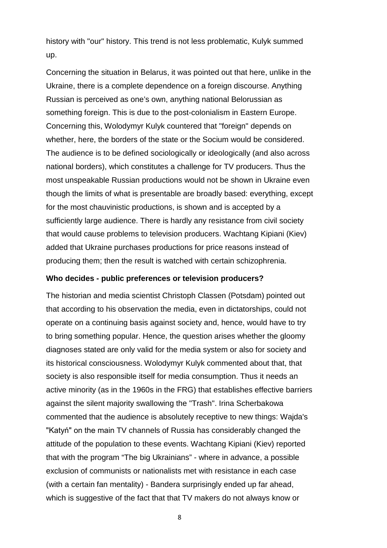history with "our" history. This trend is not less problematic, Kulyk summed up.

Concerning the situation in Belarus, it was pointed out that here, unlike in the Ukraine, there is a complete dependence on a foreign discourse. Anything Russian is perceived as one's own, anything national Belorussian as something foreign. This is due to the post-colonialism in Eastern Europe. Concerning this, Wolodymyr Kulyk countered that "foreign" depends on whether, here, the borders of the state or the Socium would be considered. The audience is to be defined sociologically or ideologically (and also across national borders), which constitutes a challenge for TV producers. Thus the most unspeakable Russian productions would not be shown in Ukraine even though the limits of what is presentable are broadly based: everything, except for the most chauvinistic productions, is shown and is accepted by a sufficiently large audience. There is hardly any resistance from civil society that would cause problems to television producers. Wachtang Kipiani (Kiev) added that Ukraine purchases productions for price reasons instead of producing them; then the result is watched with certain schizophrenia.

## **Who decides - public preferences or television producers?**

The historian and media scientist Christoph Classen (Potsdam) pointed out that according to his observation the media, even in dictatorships, could not operate on a continuing basis against society and, hence, would have to try to bring something popular. Hence, the question arises whether the gloomy diagnoses stated are only valid for the media system or also for society and its historical consciousness. Wolodymyr Kulyk commented about that, that society is also responsible itself for media consumption. Thus it needs an active minority (as in the 1960s in the FRG) that establishes effective barriers against the silent majority swallowing the "Trash". Irina Scherbakowa commented that the audience is absolutely receptive to new things: Wajda's "Katyń" on the main TV channels of Russia has considerably changed the attitude of the population to these events. Wachtang Kipiani (Kiev) reported that with the program "The big Ukrainians" - where in advance, a possible exclusion of communists or nationalists met with resistance in each case (with a certain fan mentality) - Bandera surprisingly ended up far ahead, which is suggestive of the fact that that TV makers do not always know or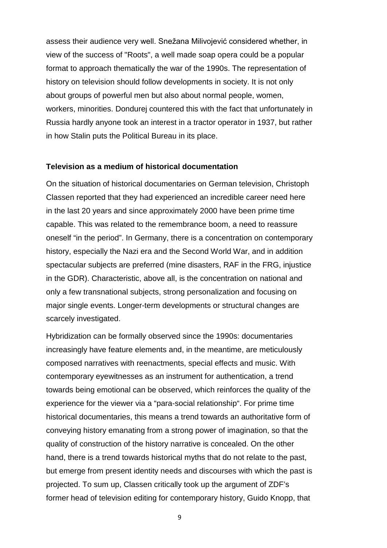assess their audience very well. Snežana Milivojević considered whether, in view of the success of "Roots", a well made soap opera could be a popular format to approach thematically the war of the 1990s. The representation of history on television should follow developments in society. It is not only about groups of powerful men but also about normal people, women, workers, minorities. Dondurej countered this with the fact that unfortunately in Russia hardly anyone took an interest in a tractor operator in 1937, but rather in how Stalin puts the Political Bureau in its place.

#### **Television as a medium of historical documentation**

On the situation of historical documentaries on German television, Christoph Classen reported that they had experienced an incredible career need here in the last 20 years and since approximately 2000 have been prime time capable. This was related to the remembrance boom, a need to reassure oneself "in the period". In Germany, there is a concentration on contemporary history, especially the Nazi era and the Second World War, and in addition spectacular subjects are preferred (mine disasters, RAF in the FRG, injustice in the GDR). Characteristic, above all, is the concentration on national and only a few transnational subjects, strong personalization and focusing on major single events. Longer-term developments or structural changes are scarcely investigated.

Hybridization can be formally observed since the 1990s: documentaries increasingly have feature elements and, in the meantime, are meticulously composed narratives with reenactments, special effects and music. With contemporary eyewitnesses as an instrument for authentication, a trend towards being emotional can be observed, which reinforces the quality of the experience for the viewer via a "para-social relationship". For prime time historical documentaries, this means a trend towards an authoritative form of conveying history emanating from a strong power of imagination, so that the quality of construction of the history narrative is concealed. On the other hand, there is a trend towards historical myths that do not relate to the past, but emerge from present identity needs and discourses with which the past is projected. To sum up, Classen critically took up the argument of ZDF's former head of television editing for contemporary history, Guido Knopp, that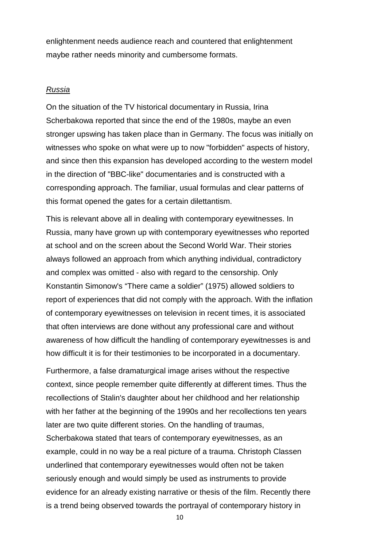enlightenment needs audience reach and countered that enlightenment maybe rather needs minority and cumbersome formats.

#### *Russia*

On the situation of the TV historical documentary in Russia, Irina Scherbakowa reported that since the end of the 1980s, maybe an even stronger upswing has taken place than in Germany. The focus was initially on witnesses who spoke on what were up to now "forbidden" aspects of history, and since then this expansion has developed according to the western model in the direction of "BBC-like" documentaries and is constructed with a corresponding approach. The familiar, usual formulas and clear patterns of this format opened the gates for a certain dilettantism.

This is relevant above all in dealing with contemporary eyewitnesses. In Russia, many have grown up with contemporary eyewitnesses who reported at school and on the screen about the Second World War. Their stories always followed an approach from which anything individual, contradictory and complex was omitted - also with regard to the censorship. Only Konstantin Simonow's "There came a soldier" (1975) allowed soldiers to report of experiences that did not comply with the approach. With the inflation of contemporary eyewitnesses on television in recent times, it is associated that often interviews are done without any professional care and without awareness of how difficult the handling of contemporary eyewitnesses is and how difficult it is for their testimonies to be incorporated in a documentary.

Furthermore, a false dramaturgical image arises without the respective context, since people remember quite differently at different times. Thus the recollections of Stalin's daughter about her childhood and her relationship with her father at the beginning of the 1990s and her recollections ten years later are two quite different stories. On the handling of traumas, Scherbakowa stated that tears of contemporary eyewitnesses, as an example, could in no way be a real picture of a trauma. Christoph Classen underlined that contemporary eyewitnesses would often not be taken seriously enough and would simply be used as instruments to provide evidence for an already existing narrative or thesis of the film. Recently there is a trend being observed towards the portrayal of contemporary history in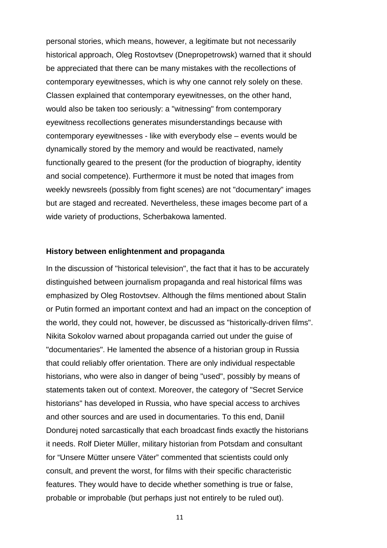personal stories, which means, however, a legitimate but not necessarily historical approach, Oleg Rostovtsev (Dnepropetrowsk) warned that it should be appreciated that there can be many mistakes with the recollections of contemporary eyewitnesses, which is why one cannot rely solely on these. Classen explained that contemporary eyewitnesses, on the other hand, would also be taken too seriously: a "witnessing" from contemporary eyewitness recollections generates misunderstandings because with contemporary eyewitnesses - like with everybody else – events would be dynamically stored by the memory and would be reactivated, namely functionally geared to the present (for the production of biography, identity and social competence). Furthermore it must be noted that images from weekly newsreels (possibly from fight scenes) are not "documentary" images but are staged and recreated. Nevertheless, these images become part of a wide variety of productions, Scherbakowa lamented.

#### **History between enlightenment and propaganda**

In the discussion of "historical television", the fact that it has to be accurately distinguished between journalism propaganda and real historical films was emphasized by Oleg Rostovtsev. Although the films mentioned about Stalin or Putin formed an important context and had an impact on the conception of the world, they could not, however, be discussed as "historically-driven films". Nikita Sokolov warned about propaganda carried out under the guise of "documentaries". He lamented the absence of a historian group in Russia that could reliably offer orientation. There are only individual respectable historians, who were also in danger of being "used", possibly by means of statements taken out of context. Moreover, the category of "Secret Service historians" has developed in Russia, who have special access to archives and other sources and are used in documentaries. To this end, Daniil Dondurej noted sarcastically that each broadcast finds exactly the historians it needs. Rolf Dieter Müller, military historian from Potsdam and consultant for "Unsere Mütter unsere Väter" commented that scientists could only consult, and prevent the worst, for films with their specific characteristic features. They would have to decide whether something is true or false, probable or improbable (but perhaps just not entirely to be ruled out).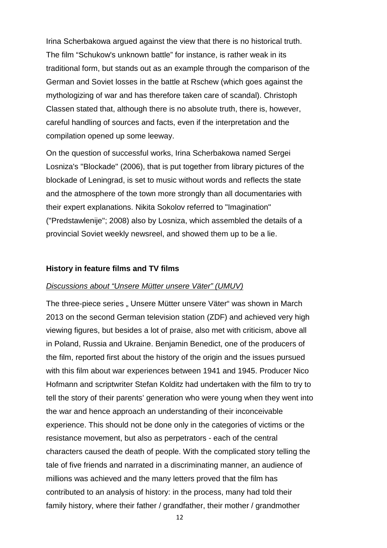Irina Scherbakowa argued against the view that there is no historical truth. The film "Schukow's unknown battle" for instance, is rather weak in its traditional form, but stands out as an example through the comparison of the German and Soviet losses in the battle at Rschew (which goes against the mythologizing of war and has therefore taken care of scandal). Christoph Classen stated that, although there is no absolute truth, there is, however, careful handling of sources and facts, even if the interpretation and the compilation opened up some leeway.

On the question of successful works, Irina Scherbakowa named Sergei Losniza's "Blockade" (2006), that is put together from library pictures of the blockade of Leningrad, is set to music without words and reflects the state and the atmosphere of the town more strongly than all documentaries with their expert explanations. Nikita Sokolov referred to "Imagination" ("Predstawlenije"; 2008) also by Losniza, which assembled the details of a provincial Soviet weekly newsreel, and showed them up to be a lie.

#### **History in feature films and TV films**

#### *Discussions about "Unsere Mütter unsere Väter" (UMUV)*

The three-piece series . Unsere Mütter unsere Väter" was shown in March 2013 on the second German television station (ZDF) and achieved very high viewing figures, but besides a lot of praise, also met with criticism, above all in Poland, Russia and Ukraine. Benjamin Benedict, one of the producers of the film, reported first about the history of the origin and the issues pursued with this film about war experiences between 1941 and 1945. Producer Nico Hofmann and scriptwriter Stefan Kolditz had undertaken with the film to try to tell the story of their parents' generation who were young when they went into the war and hence approach an understanding of their inconceivable experience. This should not be done only in the categories of victims or the resistance movement, but also as perpetrators - each of the central characters caused the death of people. With the complicated story telling the tale of five friends and narrated in a discriminating manner, an audience of millions was achieved and the many letters proved that the film has contributed to an analysis of history: in the process, many had told their family history, where their father / grandfather, their mother / grandmother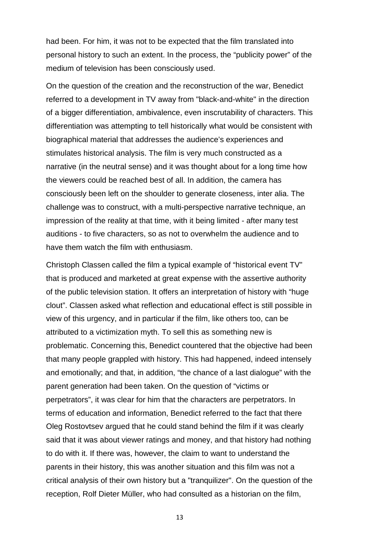had been. For him, it was not to be expected that the film translated into personal history to such an extent. In the process, the "publicity power" of the medium of television has been consciously used.

On the question of the creation and the reconstruction of the war, Benedict referred to a development in TV away from "black-and-white" in the direction of a bigger differentiation, ambivalence, even inscrutability of characters. This differentiation was attempting to tell historically what would be consistent with biographical material that addresses the audience's experiences and stimulates historical analysis. The film is very much constructed as a narrative (in the neutral sense) and it was thought about for a long time how the viewers could be reached best of all. In addition, the camera has consciously been left on the shoulder to generate closeness, inter alia. The challenge was to construct, with a multi-perspective narrative technique, an impression of the reality at that time, with it being limited - after many test auditions - to five characters, so as not to overwhelm the audience and to have them watch the film with enthusiasm.

Christoph Classen called the film a typical example of "historical event TV" that is produced and marketed at great expense with the assertive authority of the public television station. It offers an interpretation of history with "huge clout". Classen asked what reflection and educational effect is still possible in view of this urgency, and in particular if the film, like others too, can be attributed to a victimization myth. To sell this as something new is problematic. Concerning this, Benedict countered that the objective had been that many people grappled with history. This had happened, indeed intensely and emotionally; and that, in addition, "the chance of a last dialogue" with the parent generation had been taken. On the question of "victims or perpetrators", it was clear for him that the characters are perpetrators. In terms of education and information, Benedict referred to the fact that there Oleg Rostovtsev argued that he could stand behind the film if it was clearly said that it was about viewer ratings and money, and that history had nothing to do with it. If there was, however, the claim to want to understand the parents in their history, this was another situation and this film was not a critical analysis of their own history but a "tranquilizer". On the question of the reception, Rolf Dieter Müller, who had consulted as a historian on the film,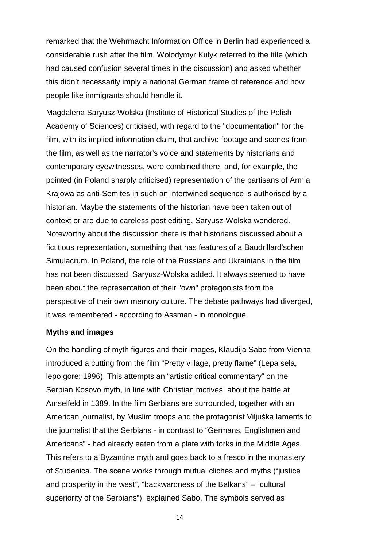remarked that the Wehrmacht Information Office in Berlin had experienced a considerable rush after the film. Wolodymyr Kulyk referred to the title (which had caused confusion several times in the discussion) and asked whether this didn't necessarily imply a national German frame of reference and how people like immigrants should handle it.

Magdalena Saryusz-Wolska (Institute of Historical Studies of the Polish Academy of Sciences) criticised, with regard to the "documentation" for the film, with its implied information claim, that archive footage and scenes from the film, as well as the narrator's voice and statements by historians and contemporary eyewitnesses, were combined there, and, for example, the pointed (in Poland sharply criticised) representation of the partisans of Armia Krajowa as anti-Semites in such an intertwined sequence is authorised by a historian. Maybe the statements of the historian have been taken out of context or are due to careless post editing, Saryusz-Wolska wondered. Noteworthy about the discussion there is that historians discussed about a fictitious representation, something that has features of a Baudrillard'schen Simulacrum. In Poland, the role of the Russians and Ukrainians in the film has not been discussed, Saryusz-Wolska added. It always seemed to have been about the representation of their "own" protagonists from the perspective of their own memory culture. The debate pathways had diverged, it was remembered - according to Assman - in monologue.

### **Myths and images**

On the handling of myth figures and their images, Klaudija Sabo from Vienna introduced a cutting from the film "Pretty village, pretty flame" (Lepa sela, lepo gore; 1996). This attempts an "artistic critical commentary" on the Serbian Kosovo myth, in line with Christian motives, about the battle at Amselfeld in 1389. In the film Serbians are surrounded, together with an American journalist, by Muslim troops and the protagonist Viljuška laments to the journalist that the Serbians - in contrast to "Germans, Englishmen and Americans" - had already eaten from a plate with forks in the Middle Ages. This refers to a Byzantine myth and goes back to a fresco in the monastery of Studenica. The scene works through mutual clichés and myths ("justice and prosperity in the west", "backwardness of the Balkans" – "cultural superiority of the Serbians"), explained Sabo. The symbols served as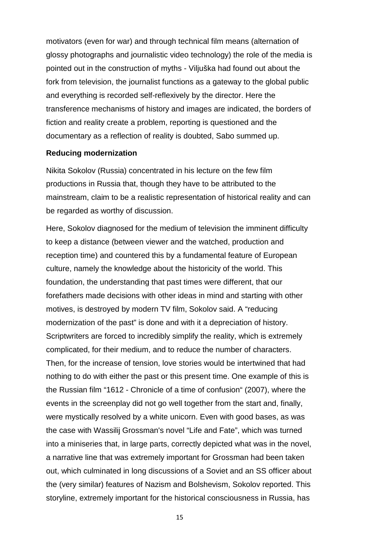motivators (even for war) and through technical film means (alternation of glossy photographs and journalistic video technology) the role of the media is pointed out in the construction of myths - Viljuška had found out about the fork from television, the journalist functions as a gateway to the global public and everything is recorded self-reflexively by the director. Here the transference mechanisms of history and images are indicated, the borders of fiction and reality create a problem, reporting is questioned and the documentary as a reflection of reality is doubted, Sabo summed up.

# **Reducing modernization**

Nikita Sokolov (Russia) concentrated in his lecture on the few film productions in Russia that, though they have to be attributed to the mainstream, claim to be a realistic representation of historical reality and can be regarded as worthy of discussion.

Here, Sokolov diagnosed for the medium of television the imminent difficulty to keep a distance (between viewer and the watched, production and reception time) and countered this by a fundamental feature of European culture, namely the knowledge about the historicity of the world. This foundation, the understanding that past times were different, that our forefathers made decisions with other ideas in mind and starting with other motives, is destroyed by modern TV film, Sokolov said. A "reducing modernization of the past" is done and with it a depreciation of history. Scriptwriters are forced to incredibly simplify the reality, which is extremely complicated, for their medium, and to reduce the number of characters. Then, for the increase of tension, love stories would be intertwined that had nothing to do with either the past or this present time. One example of this is the Russian film "1612 - Chronicle of a time of confusion" (2007), where the events in the screenplay did not go well together from the start and, finally, were mystically resolved by a white unicorn. Even with good bases, as was the case with Wassilij Grossman's novel "Life and Fate", which was turned into a miniseries that, in large parts, correctly depicted what was in the novel, a narrative line that was extremely important for Grossman had been taken out, which culminated in long discussions of a Soviet and an SS officer about the (very similar) features of Nazism and Bolshevism, Sokolov reported. This storyline, extremely important for the historical consciousness in Russia, has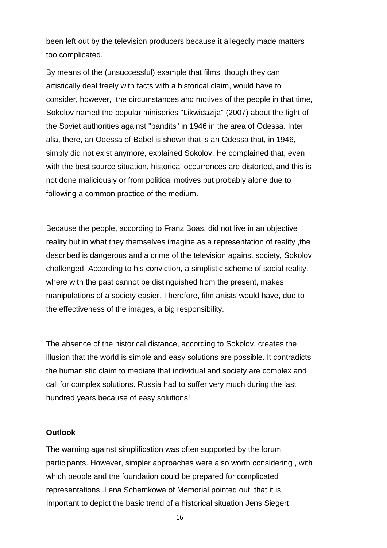been left out by the television producers because it allegedly made matters too complicated.

By means of the (unsuccessful) example that films, though they can artistically deal freely with facts with a historical claim, would have to consider, however, the circumstances and motives of the people in that time, Sokolov named the popular miniseries "Likwidazija" (2007) about the fight of the Soviet authorities against "bandits" in 1946 in the area of Odessa. Inter alia, there, an Odessa of Babel is shown that is an Odessa that, in 1946, simply did not exist anymore, explained Sokolov. He complained that, even with the best source situation, historical occurrences are distorted, and this is not done maliciously or from political motives but probably alone due to following a common practice of the medium.

Because the people, according to Franz Boas, did not live in an objective reality but in what they themselves imagine as a representation of reality ,the described is dangerous and a crime of the television against society, Sokolov challenged. According to his conviction, a simplistic scheme of social reality, where with the past cannot be distinguished from the present, makes manipulations of a society easier. Therefore, film artists would have, due to the effectiveness of the images, a big responsibility.

The absence of the historical distance, according to Sokolov, creates the illusion that the world is simple and easy solutions are possible. It contradicts the humanistic claim to mediate that individual and society are complex and call for complex solutions. Russia had to suffer very much during the last hundred years because of easy solutions!

## **Outlook**

The warning against simplification was often supported by the forum participants. However, simpler approaches were also worth considering , with which people and the foundation could be prepared for complicated representations .Lena Schemkowa of Memorial pointed out. that it is Important to depict the basic trend of a historical situation Jens Siegert